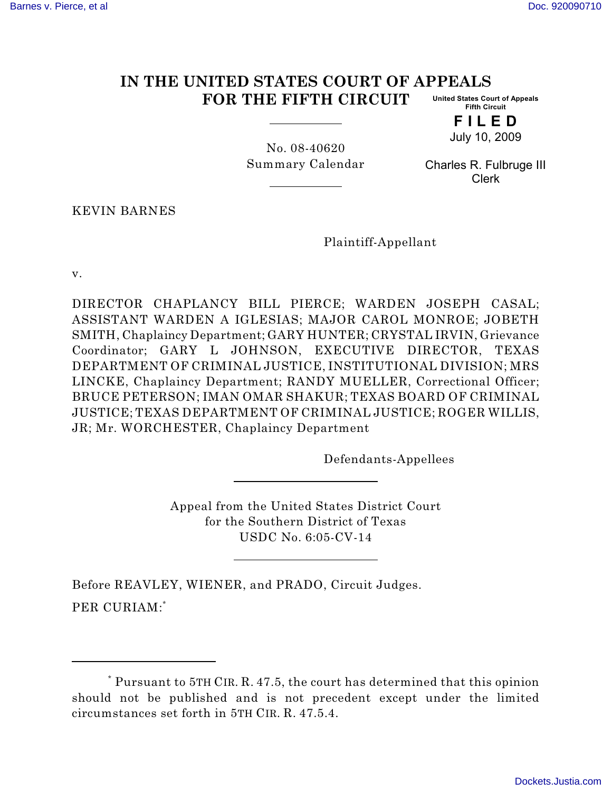## **IN THE UNITED STATES COURT OF APPEALS FOR THE FIFTH CIRCUIT United States Court of Appeals Fifth Circuit**

**F I L E D** July 10, 2009

No. 08-40620 Summary Calendar

Charles R. Fulbruge III Clerk

KEVIN BARNES

Plaintiff-Appellant

v.

DIRECTOR CHAPLANCY BILL PIERCE; WARDEN JOSEPH CASAL; ASSISTANT WARDEN A IGLESIAS; MAJOR CAROL MONROE; JOBETH SMITH, Chaplaincy Department; GARY HUNTER; CRYSTAL IRVIN, Grievance Coordinator; GARY L JOHNSON, EXECUTIVE DIRECTOR, TEXAS DEPARTMENT OF CRIMINAL JUSTICE, INSTITUTIONAL DIVISION; MRS LINCKE, Chaplaincy Department; RANDY MUELLER, Correctional Officer; BRUCE PETERSON; IMAN OMAR SHAKUR; TEXAS BOARD OF CRIMINAL JUSTICE; TEXAS DEPARTMENT OF CRIMINAL JUSTICE; ROGER WILLIS, JR; Mr. WORCHESTER, Chaplaincy Department

Defendants-Appellees

Appeal from the United States District Court for the Southern District of Texas USDC No. 6:05-CV-14

Before REAVLEY, WIENER, and PRADO, Circuit Judges. PER CURIAM:\*

Pursuant to 5TH CIR. R. 47.5, the court has determined that this opinion \* should not be published and is not precedent except under the limited circumstances set forth in 5TH CIR. R. 47.5.4.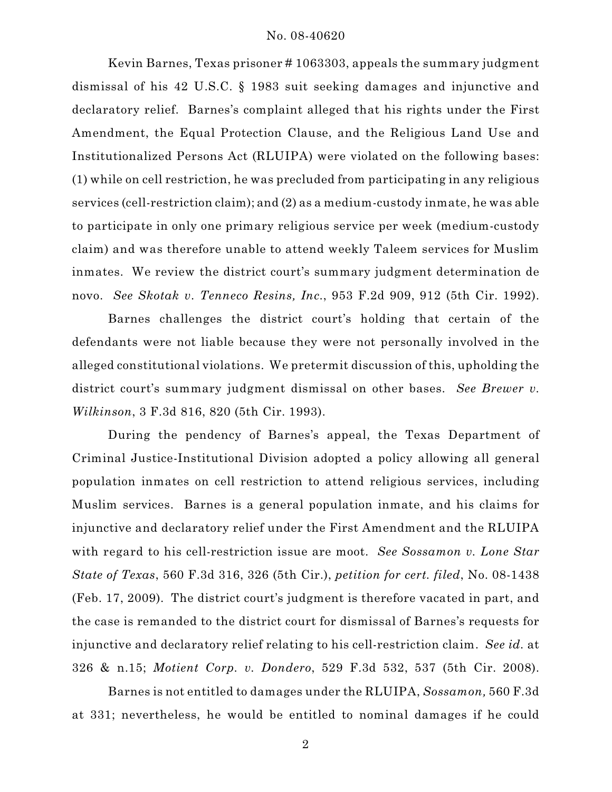Kevin Barnes, Texas prisoner # 1063303, appeals the summary judgment dismissal of his 42 U.S.C. § 1983 suit seeking damages and injunctive and declaratory relief. Barnes's complaint alleged that his rights under the First Amendment, the Equal Protection Clause, and the Religious Land Use and Institutionalized Persons Act (RLUIPA) were violated on the following bases: (1) while on cell restriction, he was precluded from participating in any religious services (cell-restriction claim); and (2) as a medium-custody inmate, he was able to participate in only one primary religious service per week (medium-custody claim) and was therefore unable to attend weekly Taleem services for Muslim inmates. We review the district court's summary judgment determination de novo. *See Skotak v. Tenneco Resins, Inc.*, 953 F.2d 909, 912 (5th Cir. 1992).

Barnes challenges the district court's holding that certain of the defendants were not liable because they were not personally involved in the alleged constitutional violations. We pretermit discussion of this, upholding the district court's summary judgment dismissal on other bases. *See Brewer v. Wilkinson*, 3 F.3d 816, 820 (5th Cir. 1993).

During the pendency of Barnes's appeal, the Texas Department of Criminal Justice-Institutional Division adopted a policy allowing all general population inmates on cell restriction to attend religious services, including Muslim services. Barnes is a general population inmate, and his claims for injunctive and declaratory relief under the First Amendment and the RLUIPA with regard to his cell-restriction issue are moot. *See Sossamon v. Lone Star State of Texas*, 560 F.3d 316, 326 (5th Cir.), *petition for cert. filed*, No. 08-1438 (Feb. 17, 2009). The district court's judgment is therefore vacated in part, and the case is remanded to the district court for dismissal of Barnes's requests for injunctive and declaratory relief relating to his cell-restriction claim. *See id.* at 326 & n.15; *Motient Corp. v. Dondero*, 529 F.3d 532, 537 (5th Cir. 2008).

Barnes is not entitled to damages under the RLUIPA, *Sossamon,* 560 F.3d at 331; nevertheless, he would be entitled to nominal damages if he could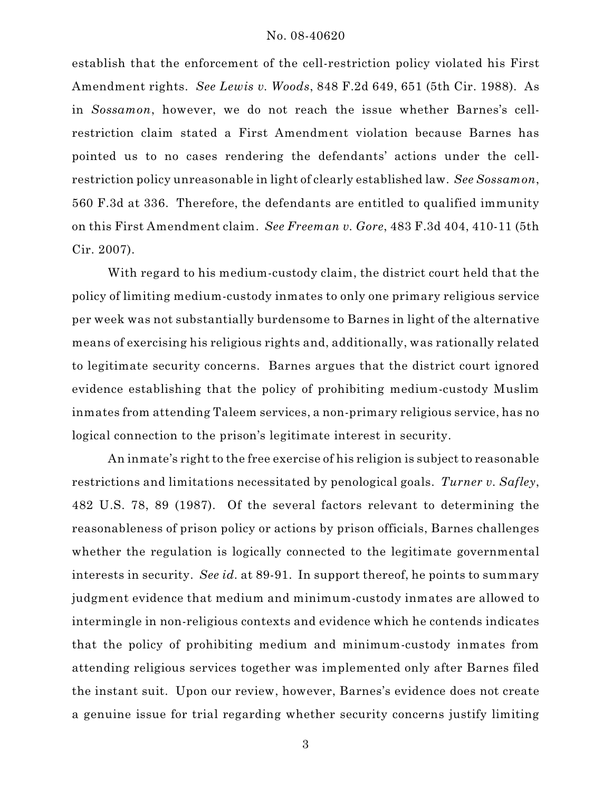## No. 08-40620

establish that the enforcement of the cell-restriction policy violated his First Amendment rights. *See Lewis v. Woods*, 848 F.2d 649, 651 (5th Cir. 1988). As in *Sossamon*, however, we do not reach the issue whether Barnes's cellrestriction claim stated a First Amendment violation because Barnes has pointed us to no cases rendering the defendants' actions under the cellrestriction policy unreasonable in light of clearly established law. *See Sossamon*, 560 F.3d at 336. Therefore, the defendants are entitled to qualified immunity on this First Amendment claim. *See Freeman v. Gore*, 483 F.3d 404, 410-11 (5th Cir. 2007).

With regard to his medium-custody claim, the district court held that the policy of limiting medium-custody inmates to only one primary religious service per week was not substantially burdensome to Barnes in light of the alternative means of exercising his religious rights and, additionally, was rationally related to legitimate security concerns. Barnes argues that the district court ignored evidence establishing that the policy of prohibiting medium-custody Muslim inmates from attending Taleem services, a non-primary religious service, has no logical connection to the prison's legitimate interest in security.

An inmate's right to the free exercise of his religion is subject to reasonable restrictions and limitations necessitated by penological goals. *Turner v. Safley*, 482 U.S. 78, 89 (1987). Of the several factors relevant to determining the reasonableness of prison policy or actions by prison officials, Barnes challenges whether the regulation is logically connected to the legitimate governmental interests in security. *See id.* at 89-91. In support thereof, he points to summary judgment evidence that medium and minimum-custody inmates are allowed to intermingle in non-religious contexts and evidence which he contends indicates that the policy of prohibiting medium and minimum-custody inmates from attending religious services together was implemented only after Barnes filed the instant suit. Upon our review, however, Barnes's evidence does not create a genuine issue for trial regarding whether security concerns justify limiting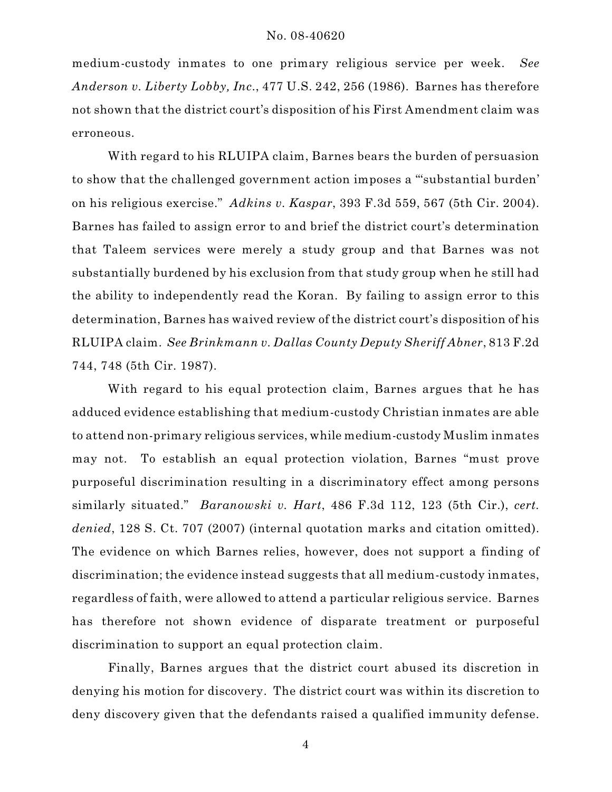medium-custody inmates to one primary religious service per week. *See Anderson v. Liberty Lobby, Inc*., 477 U.S. 242, 256 (1986). Barnes has therefore not shown that the district court's disposition of his First Amendment claim was erroneous.

With regard to his RLUIPA claim, Barnes bears the burden of persuasion to show that the challenged government action imposes a "'substantial burden' on his religious exercise." *Adkins v. Kaspar*, 393 F.3d 559, 567 (5th Cir. 2004). Barnes has failed to assign error to and brief the district court's determination that Taleem services were merely a study group and that Barnes was not substantially burdened by his exclusion from that study group when he still had the ability to independently read the Koran. By failing to assign error to this determination, Barnes has waived review of the district court's disposition of his RLUIPA claim. *See Brinkmann v. Dallas County Deputy Sheriff Abner*, 813 F.2d 744, 748 (5th Cir. 1987).

With regard to his equal protection claim, Barnes argues that he has adduced evidence establishing that medium-custody Christian inmates are able to attend non-primary religious services, while medium-custody Muslim inmates may not. To establish an equal protection violation, Barnes "must prove purposeful discrimination resulting in a discriminatory effect among persons similarly situated." *Baranowski v. Hart*, 486 F.3d 112, 123 (5th Cir.), *cert. denied*, 128 S. Ct. 707 (2007) (internal quotation marks and citation omitted). The evidence on which Barnes relies, however, does not support a finding of discrimination; the evidence instead suggests that all medium-custody inmates, regardless of faith, were allowed to attend a particular religious service. Barnes has therefore not shown evidence of disparate treatment or purposeful discrimination to support an equal protection claim.

Finally, Barnes argues that the district court abused its discretion in denying his motion for discovery. The district court was within its discretion to deny discovery given that the defendants raised a qualified immunity defense.